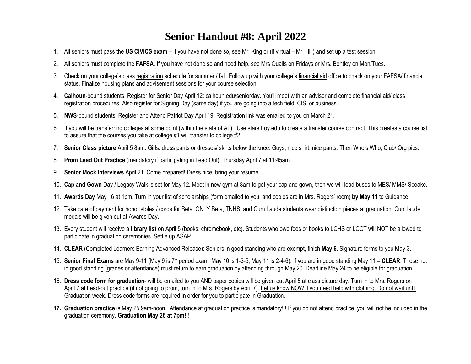## **Senior Handout #8: April 2022**

- 1. All seniors must pass the **US CIVICS exam** if you have not done so, see Mr. King or (if virtual Mr. Hill) and set up a test session.
- 2. All seniors must complete the **FAFSA**. If you have not done so and need help, see Mrs Quails on Fridays or Mrs. Bentley on Mon/Tues.
- 3. Check on your college's class registration schedule for summer / fall. Follow up with your college's financial aid office to check on your FAFSA/ financial status. Finalize housing plans and advisement sessions for your course selection.
- 4. **Calhoun**-bound students: Register for Senior Day April 12: calhoun.edu/seniorday. You'll meet with an advisor and complete financial aid/ class registration procedures. Also register for Signing Day (same day) if you are going into a tech field, CIS, or business.
- 5. **NWS**-bound students: Register and Attend Patriot Day April 19. Registration link was emailed to you on March 21.
- 6. If you will be transferring colleges at some point (within the state of AL): Use stars.troy.edu to create a transfer course contract. This creates a course list to assure that the courses you take at college #1 will transfer to college #2.
- 7. **Senior Class picture** April 5 8am. Girls: dress pants or dresses/ skirts below the knee. Guys, nice shirt, nice pants. Then Who's Who, Club/ Org pics.
- 8. **Prom Lead Out Practice** (mandatory if participating in Lead Out): Thursday April 7 at 11:45am.
- 9. **Senior Mock Interviews** April 21. Come prepared! Dress nice, bring your resume.
- 10. **Cap and Gown** Day / Legacy Walk is set for May 12. Meet in new gym at 8am to get your cap and gown, then we will load buses to MES/ MMS/ Speake.
- 11. **Awards Day** May 16 at 1pm. Turn in your list of scholarships (form emailed to you, and copies are in Mrs. Rogers' room) **by May 11** to Guidance.
- 12. Take care of payment for honor stoles / cords for Beta. ONLY Beta, TNHS, and Cum Laude students wear distinction pieces at graduation. Cum laude medals will be given out at Awards Day.
- 13. Every student will receive a **library list** on April 5 (books, chromebook, etc). Students who owe fees or books to LCHS or LCCT will NOT be allowed to participate in graduation ceremonies. Settle up ASAP.
- 14. **CLEAR** (Completed Learners Earning Advanced Release): Seniors in good standing who are exempt, finish **May 6**. Signature forms to you May 3.
- 15. **Senior Final Exams** are May 9-11 (May 9 is 7th period exam, May 10 is 1-3-5, May 11 is 2-4-6). If you are in good standing May 11 = **CLEAR**. Those not in good standing (grades or attendance) must return to earn graduation by attending through May 20. Deadline May 24 to be eligible for graduation.
- 16. **Dress code form for graduation** will be emailed to you AND paper copies will be given out April 5 at class picture day. Turn in to Mrs. Rogers on April 7 at Lead-out practice (if not going to prom, turn in to Mrs. Rogers by April 7). Let us know NOW if you need help with clothing. Do not wait until Graduation week. Dress code forms are required in order for you to participate in Graduation.
- **17. Graduation practice** is May 25 9am-noon. Attendance at graduation practice is mandatory!!! If you do not attend practice, you will not be included in the graduation ceremony. **Graduation May 26 at 7pm!!!**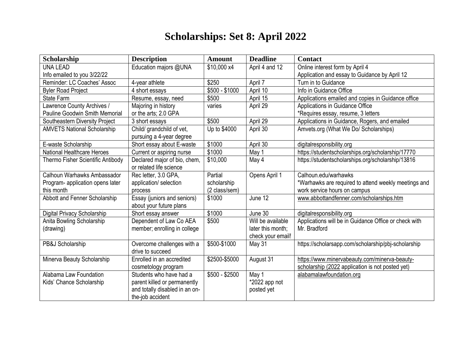## **Scholarships: Set 8: April 2022**

| Scholarship                           | <b>Description</b>             | <b>Amount</b>  | <b>Deadline</b>   | <b>Contact</b>                                        |
|---------------------------------------|--------------------------------|----------------|-------------------|-------------------------------------------------------|
| <b>UNA LEAD</b>                       | Education majors @UNA          | \$10,000 x4    | April 4 and 12    | Online interest form by April 4                       |
| Info emailed to you 3/22/22           |                                |                |                   | Application and essay to Guidance by April 12         |
| Reminder: LC Coaches' Assoc           | 4-year athlete                 | \$250          | April 7           | Turn in to Guidance                                   |
| <b>Byler Road Project</b>             | 4 short essays                 | $$500 - $1000$ | April 10          | Info in Guidance Office                               |
| <b>State Farm</b>                     | Resume, essay, need            | \$500          | April 15          | Applications emailed and copies in Guidance office    |
| Lawrence County Archives /            | Majoring in history            | varies         | April 29          | Applications in Guidance Office                       |
| <b>Pauline Goodwin Smith Memorial</b> | or the arts; 2.0 GPA           |                |                   | *Requires essay, resume, 3 letters                    |
| Southeastern Diversity Project        | 3 short essays                 | \$500          | April 29          | Applications in Guidance, Rogers, and emailed         |
| <b>AMVETS National Scholarship</b>    | Child/ grandchild of vet,      | Up to \$4000   | April 30          | Amvets.org (What We Do/ Scholarships)                 |
|                                       | pursuing a 4-year degree       |                |                   |                                                       |
| E-waste Scholarship                   | Short essay about E-waste      | \$1000         | April 30          | digitalresponsibility.org                             |
| <b>National Healthcare Heroes</b>     | Current or aspiring nurse      | \$1000         | May 1             | https://studentscholarships.org/scholarship/17770     |
| Thermo Fisher Scientific Antibody     | Declared major of bio, chem,   | \$10,000       | May 4             | https://studentscholarships.org/scholarship/13816     |
|                                       | or related life science        |                |                   |                                                       |
| Calhoun Warhawks Ambassador           | Rec letter, 3.0 GPA,           | Partial        | Opens April 1     | Calhoun.edu/warhawks                                  |
| Program- application opens later      | application/ selection         | scholarship    |                   | *Warhawks are required to attend weekly meetings and  |
| this month                            | process                        | (2 class/sem)  |                   | work service hours on campus                          |
| Abbott and Fenner Scholarship         | Essay (juniors and seniors)    | \$1000         | June 12           | www.abbottandfenner.com/scholarships.htm              |
|                                       | about your future plans        |                |                   |                                                       |
| Digital Privacy Scholarship           | Short essay answer             | \$1000         | June 30           | digitalresponsibility.org                             |
| Anita Bowling Scholarship             | Dependent of Law Co AEA        | \$500          | Will be available | Applications will be in Guidance Office or check with |
| (drawing)                             | member; enrolling in college   |                | later this month; | Mr. Bradford                                          |
|                                       |                                |                | check your email! |                                                       |
| PB&J Scholarship                      | Overcome challenges with a     | \$500-\$1000   | <b>May 31</b>     | https://scholarsapp.com/scholarship/pbj-scholarship   |
|                                       | drive to succeed               |                |                   |                                                       |
| Minerva Beauty Scholarship            | Enrolled in an accredited      | \$2500-\$5000  | August 31         | https://www.minervabeauty.com/minerva-beauty-         |
|                                       | cosmetology program            |                |                   | scholarship (2022 application is not posted yet)      |
| Alabama Law Foundation                | Students who have had a        | $$500 - $2500$ | May 1             | alabamalawfoundation.org                              |
| Kids' Chance Scholarship              | parent killed or permanently   |                | $*2022$ app not   |                                                       |
|                                       | and totally disabled in an on- |                | posted yet        |                                                       |
|                                       | the-job accident               |                |                   |                                                       |